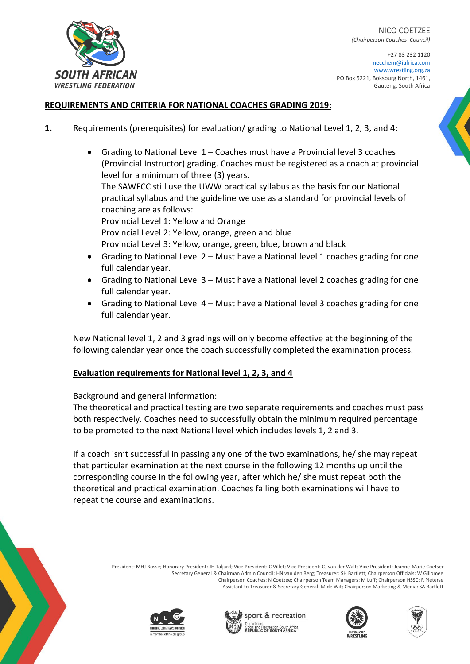+27 83 232 1120 necchem@iafrica.com [www.wrestling.org.za](http://www.wrestling.org.za/) PO Box 5221, Boksburg North, 1461, Gauteng, South Africa

### **REQUIREMENTS AND CRITERIA FOR NATIONAL COACHES GRADING 2019:**

- **1.** Requirements (prerequisites) for evaluation/ grading to National Level 1, 2, 3, and 4:
	- Grading to National Level 1 Coaches must have a Provincial level 3 coaches (Provincial Instructor) grading. Coaches must be registered as a coach at provincial level for a minimum of three (3) years. The SAWFCC still use the UWW practical syllabus as the basis for our National practical syllabus and the guideline we use as a standard for provincial levels of coaching are as follows: Provincial Level 1: Yellow and Orange Provincial Level 2: Yellow, orange, green and blue Provincial Level 3: Yellow, orange, green, blue, brown and black • Grading to National Level 2 – Must have a National level 1 coaches grading for one full calendar year.
	- Grading to National Level 3 Must have a National level 2 coaches grading for one full calendar year.
	- Grading to National Level 4 Must have a National level 3 coaches grading for one full calendar year.

New National level 1, 2 and 3 gradings will only become effective at the beginning of the following calendar year once the coach successfully completed the examination process.

### **Evaluation requirements for National level 1, 2, 3, and 4**

Background and general information:

The theoretical and practical testing are two separate requirements and coaches must pass both respectively. Coaches need to successfully obtain the minimum required percentage to be promoted to the next National level which includes levels 1, 2 and 3.

If a coach isn't successful in passing any one of the two examinations, he/ she may repeat that particular examination at the next course in the following 12 months up until the corresponding course in the following year, after which he/ she must repeat both the theoretical and practical examination. Coaches failing both examinations will have to repeat the course and examinations.

> President: MHJ Bosse; Honorary President: JH Taljard; Vice President: C Villet; Vice President: CJ van der Walt; Vice President: Jeanne-Marie Coetser Secretary General & Chairman Admin Council: HN van den Berg; Treasurer: SH Bartlett; Chairperson Officials: W Giliomee Chairperson Coaches: N Coetzee; Chairperson Team Managers: M Luff; Chairperson HSSC: R Pieterse Assistant to Treasurer & Secretary General: M de Wit; Chairperson Marketing & Media: SA Bartlett











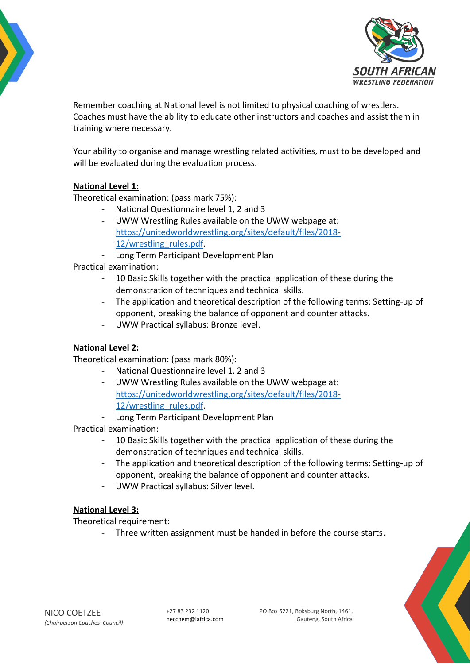



Remember coaching at National level is not limited to physical coaching of wrestlers. Coaches must have the ability to educate other instructors and coaches and assist them in training where necessary.

Your ability to organise and manage wrestling related activities, must to be developed and will be evaluated during the evaluation process.

# **National Level 1:**

Theoretical examination: (pass mark 75%):

- National Questionnaire level 1, 2 and 3
- UWW Wrestling Rules available on the UWW webpage at: [https://unitedworldwrestling.org/sites/default/files/2018-](https://unitedworldwrestling.org/sites/default/files/2018-12/wrestling_rules.pdf) [12/wrestling\\_rules.pdf.](https://unitedworldwrestling.org/sites/default/files/2018-12/wrestling_rules.pdf)
- Long Term Participant Development Plan

Practical examination:

- 10 Basic Skills together with the practical application of these during the demonstration of techniques and technical skills.
- The application and theoretical description of the following terms: Setting-up of opponent, breaking the balance of opponent and counter attacks.
- UWW Practical syllabus: Bronze level.

# **National Level 2:**

Theoretical examination: (pass mark 80%):

- National Questionnaire level 1, 2 and 3
- UWW Wrestling Rules available on the UWW webpage at: [https://unitedworldwrestling.org/sites/default/files/2018-](https://unitedworldwrestling.org/sites/default/files/2018-12/wrestling_rules.pdf) [12/wrestling\\_rules.pdf.](https://unitedworldwrestling.org/sites/default/files/2018-12/wrestling_rules.pdf)
- Long Term Participant Development Plan

Practical examination:

- 10 Basic Skills together with the practical application of these during the demonstration of techniques and technical skills.
- The application and theoretical description of the following terms: Setting-up of opponent, breaking the balance of opponent and counter attacks.
- UWW Practical syllabus: Silver level.

# **National Level 3:**

Theoretical requirement:

- Three written assignment must be handed in before the course starts.

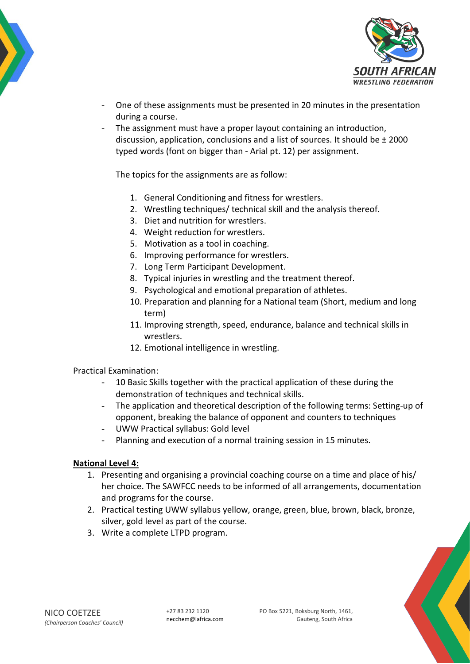



- One of these assignments must be presented in 20 minutes in the presentation during a course.
- The assignment must have a proper layout containing an introduction, discussion, application, conclusions and a list of sources. It should be ± 2000 typed words (font on bigger than - Arial pt. 12) per assignment.

The topics for the assignments are as follow:

- 1. General Conditioning and fitness for wrestlers.
- 2. Wrestling techniques/ technical skill and the analysis thereof.
- 3. Diet and nutrition for wrestlers.
- 4. Weight reduction for wrestlers.
- 5. Motivation as a tool in coaching.
- 6. Improving performance for wrestlers.
- 7. Long Term Participant Development.
- 8. Typical injuries in wrestling and the treatment thereof.
- 9. Psychological and emotional preparation of athletes.
- 10. Preparation and planning for a National team (Short, medium and long term)
- 11. Improving strength, speed, endurance, balance and technical skills in wrestlers.
- 12. Emotional intelligence in wrestling.

Practical Examination:

- 10 Basic Skills together with the practical application of these during the demonstration of techniques and technical skills.
- The application and theoretical description of the following terms: Setting-up of opponent, breaking the balance of opponent and counters to techniques
- UWW Practical syllabus: Gold level
- Planning and execution of a normal training session in 15 minutes.

### **National Level 4:**

- 1. Presenting and organising a provincial coaching course on a time and place of his/ her choice. The SAWFCC needs to be informed of all arrangements, documentation and programs for the course.
- 2. Practical testing UWW syllabus yellow, orange, green, blue, brown, black, bronze, silver, gold level as part of the course.
- 3. Write a complete LTPD program.